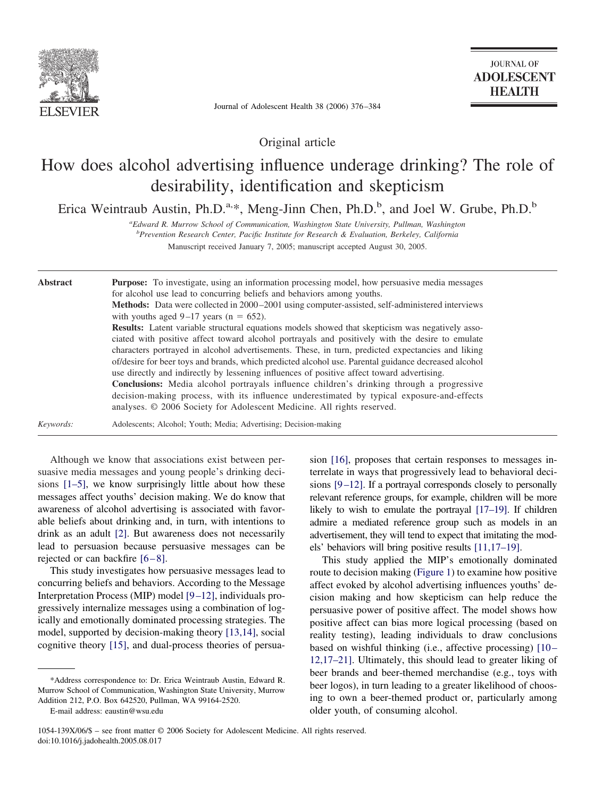

Journal of Adolescent Health 38 (2006) 376 –384

Original article

# How does alcohol advertising influence underage drinking? The role of desirability, identification and skepticism

Erica Weintraub Austin, Ph.D.<sup>a,\*</sup>, Meng-Jinn Chen, Ph.D.<sup>b</sup>, and Joel W. Grube, Ph.D.<sup>b</sup>

*a Edward R. Murrow School of Communication, Washington State University, Pullman, Washington*

*b Prevention Research Center, Pacific Institute for Research & Evaluation, Berkeley, California*

Manuscript received January 7, 2005; manuscript accepted August 30, 2005.

| <b>Abstract</b> | <b>Purpose:</b> To investigate, using an information processing model, how persuasive media messages<br>for alcohol use lead to concurring beliefs and behaviors among youths.<br><b>Methods:</b> Data were collected in 2000–2001 using computer-assisted, self-administered interviews<br>with youths aged 9–17 years ( $n = 652$ ).<br><b>Results:</b> Latent variable structural equations models showed that skepticism was negatively asso-<br>ciated with positive affect toward alcohol portrayals and positively with the desire to emulate<br>characters portrayed in alcohol advertisements. These, in turn, predicted expectancies and liking<br>of/desire for beer toys and brands, which predicted alcohol use. Parental guidance decreased alcohol<br>use directly and indirectly by lessening influences of positive affect toward advertising.<br><b>Conclusions:</b> Media alcohol portrayals influence children's drinking through a progressive<br>decision-making process, with its influence underestimated by typical exposure-and-effects<br>analyses. © 2006 Society for Adolescent Medicine. All rights reserved. |
|-----------------|---------------------------------------------------------------------------------------------------------------------------------------------------------------------------------------------------------------------------------------------------------------------------------------------------------------------------------------------------------------------------------------------------------------------------------------------------------------------------------------------------------------------------------------------------------------------------------------------------------------------------------------------------------------------------------------------------------------------------------------------------------------------------------------------------------------------------------------------------------------------------------------------------------------------------------------------------------------------------------------------------------------------------------------------------------------------------------------------------------------------------------------------|
| Keywords:       | Adolescents; Alcohol; Youth; Media; Advertising; Decision-making                                                                                                                                                                                                                                                                                                                                                                                                                                                                                                                                                                                                                                                                                                                                                                                                                                                                                                                                                                                                                                                                            |

Although we know that associations exist between persuasive media messages and young people's drinking decisions [\[1–5\],](#page-7-0) we know surprisingly little about how these messages affect youths' decision making. We do know that awareness of alcohol advertising is associated with favorable beliefs about drinking and, in turn, with intentions to drink as an adult [\[2\].](#page-7-0) But awareness does not necessarily lead to persuasion because persuasive messages can be rejected or can backfire  $[6-8]$ .

This study investigates how persuasive messages lead to concurring beliefs and behaviors. According to the Message Interpretation Process (MIP) model [\[9 –12\],](#page-7-0) individuals progressively internalize messages using a combination of logically and emotionally dominated processing strategies. The model, supported by decision-making theory [\[13,14\],](#page-8-0) social cognitive theory [\[15\],](#page-8-0) and dual-process theories of persua-

E-mail address: eaustin@wsu.edu

sion [\[16\],](#page-8-0) proposes that certain responses to messages interrelate in ways that progressively lead to behavioral decisions  $[9-12]$ . If a portrayal corresponds closely to personally relevant reference groups, for example, children will be more likely to wish to emulate the portrayal [\[17–19\].](#page-8-0) If children admire a mediated reference group such as models in an advertisement, they will tend to expect that imitating the models' behaviors will bring positive results [\[11,17–19\].](#page-8-0)

This study applied the MIP's emotionally dominated route to decision making [\(Figure 1\)](#page-1-0) to examine how positive affect evoked by alcohol advertising influences youths' decision making and how skepticism can help reduce the persuasive power of positive affect. The model shows how positive affect can bias more logical processing (based on reality testing), leading individuals to draw conclusions based on wishful thinking (i.e., affective processing) [\[10 –](#page-7-0) [12,17–21\].](#page-7-0) Ultimately, this should lead to greater liking of beer brands and beer-themed merchandise (e.g., toys with beer logos), in turn leading to a greater likelihood of choosing to own a beer-themed product or, particularly among older youth, of consuming alcohol.

<sup>\*</sup>Address correspondence to: Dr. Erica Weintraub Austin, Edward R. Murrow School of Communication, Washington State University, Murrow Addition 212, P.O. Box 642520, Pullman, WA 99164-2520.

<sup>1054-139</sup>X/06/\$ – see front matter © 2006 Society for Adolescent Medicine. All rights reserved. doi:10.1016/j.jadohealth.2005.08.017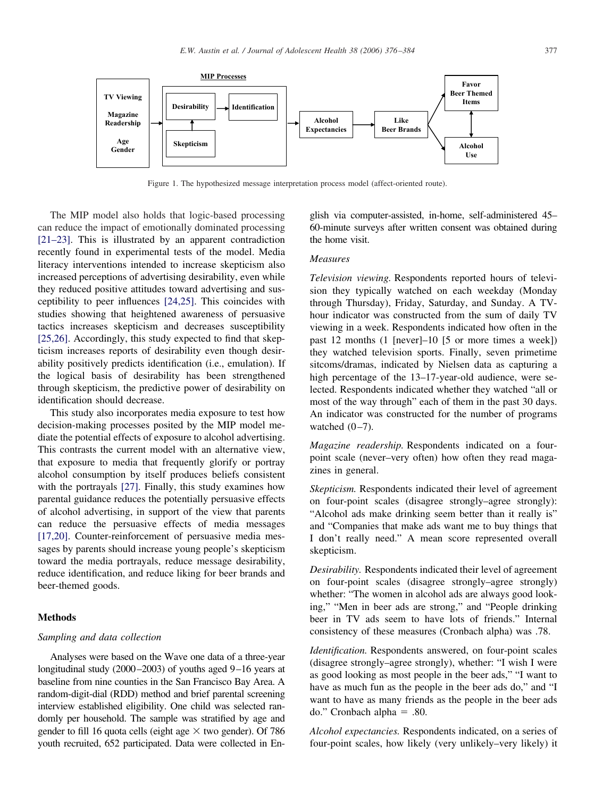<span id="page-1-0"></span>

Figure 1. The hypothesized message interpretation process model (affect-oriented route).

The MIP model also holds that logic-based processing can reduce the impact of emotionally dominated processing [\[21–23\].](#page-8-0) This is illustrated by an apparent contradiction recently found in experimental tests of the model. Media literacy interventions intended to increase skepticism also increased perceptions of advertising desirability, even while they reduced positive attitudes toward advertising and susceptibility to peer influences [\[24,25\].](#page-8-0) This coincides with studies showing that heightened awareness of persuasive tactics increases skepticism and decreases susceptibility [\[25,26\].](#page-8-0) Accordingly, this study expected to find that skepticism increases reports of desirability even though desirability positively predicts identification (i.e., emulation). If the logical basis of desirability has been strengthened through skepticism, the predictive power of desirability on identification should decrease.

This study also incorporates media exposure to test how decision-making processes posited by the MIP model mediate the potential effects of exposure to alcohol advertising. This contrasts the current model with an alternative view, that exposure to media that frequently glorify or portray alcohol consumption by itself produces beliefs consistent with the portrayals [\[27\].](#page-8-0) Finally, this study examines how parental guidance reduces the potentially persuasive effects of alcohol advertising, in support of the view that parents can reduce the persuasive effects of media messages [\[17,20\].](#page-8-0) Counter-reinforcement of persuasive media messages by parents should increase young people's skepticism toward the media portrayals, reduce message desirability, reduce identification, and reduce liking for beer brands and beer-themed goods.

## **Methods**

#### *Sampling and data collection*

Analyses were based on the Wave one data of a three-year longitudinal study (2000–2003) of youths aged 9–16 years at baseline from nine counties in the San Francisco Bay Area. A random-digit-dial (RDD) method and brief parental screening interview established eligibility. One child was selected randomly per household. The sample was stratified by age and gender to fill 16 quota cells (eight age  $\times$  two gender). Of 786 youth recruited, 652 participated. Data were collected in En-

glish via computer-assisted, in-home, self-administered 45– 60-minute surveys after written consent was obtained during the home visit.

# *Measures*

*Television viewing.* Respondents reported hours of television they typically watched on each weekday (Monday through Thursday), Friday, Saturday, and Sunday. A TVhour indicator was constructed from the sum of daily TV viewing in a week. Respondents indicated how often in the past 12 months (1 [never]–10 [5 or more times a week]) they watched television sports. Finally, seven primetime sitcoms/dramas, indicated by Nielsen data as capturing a high percentage of the 13–17-year-old audience, were selected. Respondents indicated whether they watched "all or most of the way through" each of them in the past 30 days. An indicator was constructed for the number of programs watched  $(0-7)$ .

*Magazine readership.* Respondents indicated on a fourpoint scale (never–very often) how often they read magazines in general.

*Skepticism.* Respondents indicated their level of agreement on four-point scales (disagree strongly–agree strongly): "Alcohol ads make drinking seem better than it really is" and "Companies that make ads want me to buy things that I don't really need." A mean score represented overall skepticism.

*Desirability.* Respondents indicated their level of agreement on four-point scales (disagree strongly–agree strongly) whether: "The women in alcohol ads are always good looking," "Men in beer ads are strong," and "People drinking beer in TV ads seem to have lots of friends." Internal consistency of these measures (Cronbach alpha) was .78.

*Identification.* Respondents answered, on four-point scales (disagree strongly–agree strongly), whether: "I wish I were as good looking as most people in the beer ads," "I want to have as much fun as the people in the beer ads do," and "I want to have as many friends as the people in the beer ads  $do.'$  Cronbach alpha = .80.

*Alcohol expectancies.* Respondents indicated, on a series of four-point scales, how likely (very unlikely–very likely) it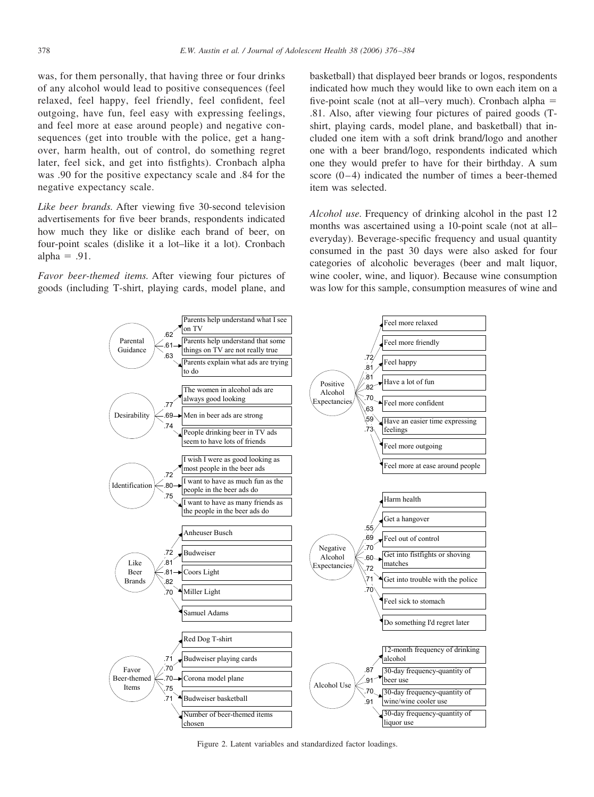<span id="page-2-0"></span>was, for them personally, that having three or four drinks of any alcohol would lead to positive consequences (feel relaxed, feel happy, feel friendly, feel confident, feel outgoing, have fun, feel easy with expressing feelings, and feel more at ease around people) and negative consequences (get into trouble with the police, get a hangover, harm health, out of control, do something regret later, feel sick, and get into fistfights). Cronbach alpha was .90 for the positive expectancy scale and .84 for the negative expectancy scale.

*Like beer brands.* After viewing five 30-second television advertisements for five beer brands, respondents indicated how much they like or dislike each brand of beer, on four-point scales (dislike it a lot–like it a lot). Cronbach alpha  $= .91$ .

*Favor beer-themed items.* After viewing four pictures of goods (including T-shirt, playing cards, model plane, and basketball) that displayed beer brands or logos, respondents indicated how much they would like to own each item on a five-point scale (not at all–very much). Cronbach alpha  $=$ .81. Also, after viewing four pictures of paired goods (Tshirt, playing cards, model plane, and basketball) that included one item with a soft drink brand/logo and another one with a beer brand/logo, respondents indicated which one they would prefer to have for their birthday. A sum score  $(0-4)$  indicated the number of times a beer-themed item was selected.

*Alcohol use.* Frequency of drinking alcohol in the past 12 months was ascertained using a 10-point scale (not at all– everyday). Beverage-specific frequency and usual quantity consumed in the past 30 days were also asked for four categories of alcoholic beverages (beer and malt liquor, wine cooler, wine, and liquor). Because wine consumption was low for this sample, consumption measures of wine and



Figure 2. Latent variables and standardized factor loadings.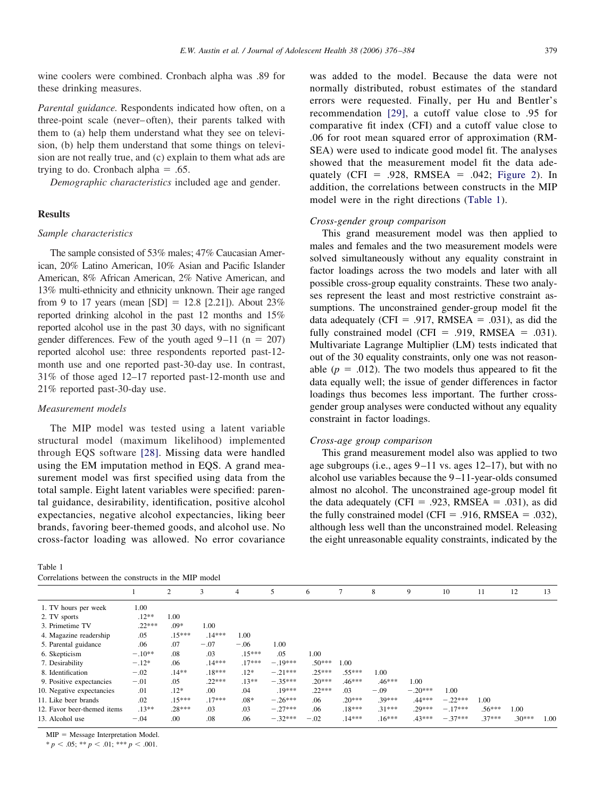wine coolers were combined. Cronbach alpha was .89 for these drinking measures.

*Parental guidance.* Respondents indicated how often, on a three-point scale (never– often), their parents talked with them to (a) help them understand what they see on television, (b) help them understand that some things on television are not really true, and (c) explain to them what ads are trying to do. Cronbach alpha  $= .65$ .

*Demographic characteristics* included age and gender.

## **Results**

## *Sample characteristics*

The sample consisted of 53% males; 47% Caucasian American, 20% Latino American, 10% Asian and Pacific Islander American, 8% African American, 2% Native American, and 13% multi-ethnicity and ethnicity unknown. Their age ranged from 9 to 17 years (mean [SD] = 12.8 [2.21]). About  $23\%$ reported drinking alcohol in the past 12 months and 15% reported alcohol use in the past 30 days, with no significant gender differences. Few of the youth aged  $9-11$  (n = 207) reported alcohol use: three respondents reported past-12 month use and one reported past-30-day use. In contrast, 31% of those aged 12–17 reported past-12-month use and 21% reported past-30-day use.

# *Measurement models*

The MIP model was tested using a latent variable structural model (maximum likelihood) implemented through EQS software [\[28\].](#page-8-0) Missing data were handled using the EM imputation method in EQS. A grand measurement model was first specified using data from the total sample. Eight latent variables were specified: parental guidance, desirability, identification, positive alcohol expectancies, negative alcohol expectancies, liking beer brands, favoring beer-themed goods, and alcohol use. No cross-factor loading was allowed. No error covariance

| Table 1                                              |  |  |  |  |
|------------------------------------------------------|--|--|--|--|
| Correlations between the constructs in the MIP model |  |  |  |  |

was added to the model. Because the data were not normally distributed, robust estimates of the standard errors were requested. Finally, per Hu and Bentler's recommendation [\[29\],](#page-8-0) a cutoff value close to .95 for comparative fit index (CFI) and a cutoff value close to .06 for root mean squared error of approximation (RM-SEA) were used to indicate good model fit. The analyses showed that the measurement model fit the data ade-quately (CFI = .928, RMSEA = .042; [Figure 2\)](#page-2-0). In addition, the correlations between constructs in the MIP model were in the right directions (Table 1).

#### *Cross-gender group comparison*

This grand measurement model was then applied to males and females and the two measurement models were solved simultaneously without any equality constraint in factor loadings across the two models and later with all possible cross-group equality constraints. These two analyses represent the least and most restrictive constraint assumptions. The unconstrained gender-group model fit the data adequately (CFI = .917, RMSEA = .031), as did the fully constrained model (CFI = .919, RMSEA = .031). Multivariate Lagrange Multiplier (LM) tests indicated that out of the 30 equality constraints, only one was not reasonable  $(p = .012)$ . The two models thus appeared to fit the data equally well; the issue of gender differences in factor loadings thus becomes less important. The further crossgender group analyses were conducted without any equality constraint in factor loadings.

## *Cross-age group comparison*

This grand measurement model also was applied to two age subgroups (i.e., ages 9–11 vs. ages 12–17), but with no alcohol use variables because the 9 –11-year-olds consumed almost no alcohol. The unconstrained age-group model fit the data adequately (CFI = .923, RMSEA = .031), as did the fully constrained model (CFI = .916, RMSEA = .032), although less well than the unconstrained model. Releasing the eight unreasonable equality constraints, indicated by the

|                             |          | 2        | 3        | 4        | 5         | 6        |          | 8        | 9         | 10        | 11       | 12       | 13   |
|-----------------------------|----------|----------|----------|----------|-----------|----------|----------|----------|-----------|-----------|----------|----------|------|
| 1. TV hours per week        | 1.00     |          |          |          |           |          |          |          |           |           |          |          |      |
| 2. TV sports                | $.12**$  | 1.00     |          |          |           |          |          |          |           |           |          |          |      |
| 3. Primetime TV             | $.22***$ | $.09*$   | 1.00     |          |           |          |          |          |           |           |          |          |      |
| 4. Magazine readership      | .05      | $.15***$ | $.14***$ | 1.00     |           |          |          |          |           |           |          |          |      |
| 5. Parental guidance        | .06      | .07      | $-.07$   | $-.06$   | 1.00      |          |          |          |           |           |          |          |      |
| 6. Skepticism               | $-.10**$ | .08      | .03      | $.15***$ | .05       | 1.00     |          |          |           |           |          |          |      |
| 7. Desirability             | $-.12*$  | .06      | $.14***$ | $.17***$ | $-.19***$ | $.50***$ | 1.00     |          |           |           |          |          |      |
| 8. Identification           | $-.02$   | $.14**$  | $.18***$ | $.12*$   | $-.21***$ | $.25***$ | $.55***$ | 1.00     |           |           |          |          |      |
| 9. Positive expectancies    | $-.01$   | .05      | $.22***$ | $.13**$  | $-.35***$ | $.20***$ | $.46***$ | $.46***$ | 1.00      |           |          |          |      |
| 10. Negative expectancies   | .01      | $.12*$   | .00      | .04      | $.19***$  | $.22***$ | .03      | $-.09$   | $-.20***$ | 1.00      |          |          |      |
| 11. Like beer brands        | .02      | $.15***$ | $.17***$ | $0.08*$  | $-.26***$ | .06      | $.20***$ | .39***   | .44***    | $-.22***$ | 1.00     |          |      |
| 12. Favor beer-themed items | $.13**$  | $.28***$ | .03      | .03      | $-.27***$ | .06      | $.18***$ | $.31***$ | .29***    | $-.17***$ | $.56***$ | 1.00     |      |
| 13. Alcohol use             | $-.04$   | .00      | .08      | .06      | $-.32***$ | $-.02$   | $.14***$ | $.16***$ | .43***    | $-.37***$ | $.37***$ | $.30***$ | 1.00 |
|                             |          |          |          |          |           |          |          |          |           |           |          |          |      |

 $MIP$  = Message Interpretation Model.

 $p < .05$ ; \*\*  $p < .01$ ; \*\*\*  $p < .001$ .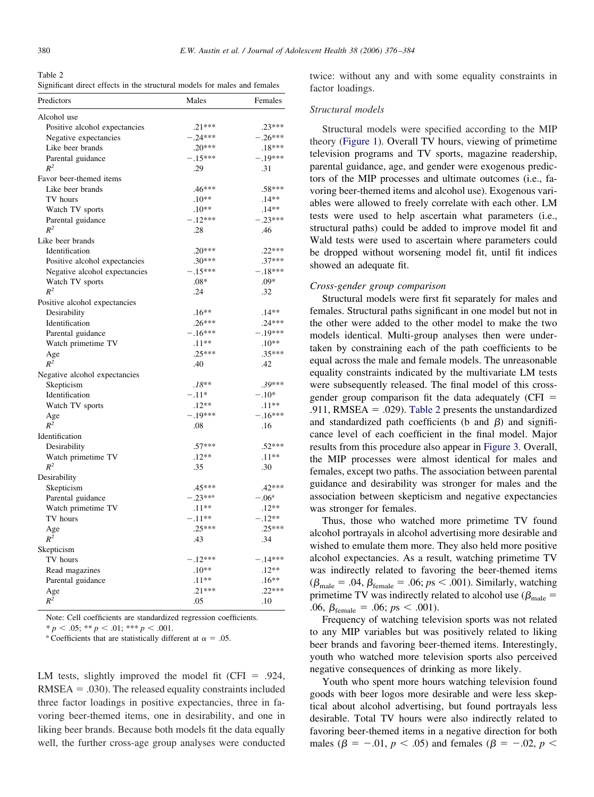Table 2 Significant direct effects in the structural models for males and females

| Predictors                    | Males      | Females        |
|-------------------------------|------------|----------------|
| Alcohol use                   |            |                |
| Positive alcohol expectancies | $.21***$   | $.23***$       |
| Negative expectancies         | $-.24***$  | $-.26***$      |
| Like beer brands              | $.20***$   | $.18***$       |
| Parental guidance             | $-.15***$  | $-.19***$      |
| $R^2$                         | .29        | .31            |
| Favor beer-themed items       |            |                |
| Like beer brands              | $.46***$   | $.58***$       |
| TV hours                      | $.10**$    | $.14**$        |
| Watch TV sports               | $.10**$    | $.14**$        |
| Parental guidance             | $-.12***$  | $-.23***$      |
| $R^2$                         | .28        | .46            |
| Like beer brands              |            |                |
| Identification                | $.20***$   | $.22***$       |
| Positive alcohol expectancies | $.30***$   | $.37***$       |
| Negative alcohol expectancies | $-.15***$  | $-.18***$      |
| Watch TV sports               | $.08*$     | $.09*$         |
| $R^2$                         | .24        | .32            |
| Positive alcohol expectancies |            |                |
| Desirability                  | $.16**$    | $.14**$        |
| Identification                | $.26***$   | $.24***$       |
| Parental guidance             | $-.16***$  | $-.19***$      |
| Watch primetime TV            | $.11**$    | $.10**$        |
| Age                           | $.25***$   | $.35***$       |
| $R^2$                         | .40        | .42            |
| Negative alcohol expectancies |            |                |
| Skepticism                    | $.18**$    | $.39***$       |
| Identification                | $-.11*$    | $-.10*$        |
| Watch TV sports               | $.12**$    | $.11**$        |
| Age                           | $-.19***$  | $-.16***$      |
| $R^2$                         | .08        | .16            |
| Identification                |            |                |
| Desirability                  | $.57***$   | $.52***$       |
| Watch primetime TV            | $.12**$    | $.11**$        |
| $R^2$                         | .35        | .30            |
| Desirability                  |            |                |
| Skepticism                    | $.45***$   | $.42***$       |
| Parental guidance             | $-.23***a$ | $-.06^{\rm a}$ |
| Watch primetime TV            | $.11**$    | $.12**$        |
| TV hours                      | $-.11**$   | $-.12**$       |
| Age                           | $.25***$   | $.25***$       |
| $R^2$                         | .43        | .34            |
| Skepticism                    |            |                |
| TV hours                      | $-.12***$  | $-.14***$      |
| Read magazines                | $.10**$    | $.12**$        |
| Parental guidance             | $.11**$    | $.16**$        |
| Age                           | $.21***$   | $.22***$       |
| $R^2$                         | .05        | .10            |

Note: Cell coefficients are standardized regression coefficients.

 $* p < .05; ** p < .01; *** p < .001.$ 

<sup>a</sup> Coefficients that are statistically different at  $\alpha = .05$ .

LM tests, slightly improved the model fit (CFI  $= .924$ ,  $RMSEA = .030$ . The released equality constraints included three factor loadings in positive expectancies, three in favoring beer-themed items, one in desirability, and one in liking beer brands. Because both models fit the data equally well, the further cross-age group analyses were conducted twice: without any and with some equality constraints in factor loadings.

#### *Structural models*

Structural models were specified according to the MIP theory [\(Figure 1\)](#page-1-0). Overall TV hours, viewing of primetime television programs and TV sports, magazine readership, parental guidance, age, and gender were exogenous predictors of the MIP processes and ultimate outcomes (i.e., favoring beer-themed items and alcohol use). Exogenous variables were allowed to freely correlate with each other. LM tests were used to help ascertain what parameters (i.e., structural paths) could be added to improve model fit and Wald tests were used to ascertain where parameters could be dropped without worsening model fit, until fit indices showed an adequate fit.

#### *Cross-gender group comparison*

Structural models were first fit separately for males and females. Structural paths significant in one model but not in the other were added to the other model to make the two models identical. Multi-group analyses then were undertaken by constraining each of the path coefficients to be equal across the male and female models. The unreasonable equality constraints indicated by the multivariate LM tests were subsequently released. The final model of this crossgender group comparison fit the data adequately  $(CFI =$ .911, RMSEA = .029). Table 2 presents the unstandardized and standardized path coefficients (b and  $\beta$ ) and significance level of each coefficient in the final model. Major results from this procedure also appear in [Figure 3.](#page-5-0) Overall, the MIP processes were almost identical for males and females, except two paths. The association between parental guidance and desirability was stronger for males and the association between skepticism and negative expectancies was stronger for females.

Thus, those who watched more primetime TV found alcohol portrayals in alcohol advertising more desirable and wished to emulate them more. They also held more positive alcohol expectancies. As a result, watching primetime TV was indirectly related to favoring the beer-themed items  $(\beta_{\text{male}} = .04, \beta_{\text{female}} = .06; ps < .001)$ . Similarly, watching primetime TV was indirectly related to alcohol use ( $\beta_{\text{male}} =$ .06,  $\beta_{\text{female}} = .06$ ;  $ps < .001$ ).

Frequency of watching television sports was not related to any MIP variables but was positively related to liking beer brands and favoring beer-themed items. Interestingly, youth who watched more television sports also perceived negative consequences of drinking as more likely.

Youth who spent more hours watching television found goods with beer logos more desirable and were less skeptical about alcohol advertising, but found portrayals less desirable. Total TV hours were also indirectly related to favoring beer-themed items in a negative direction for both males ( $\beta$  = -.01,  $p$  < .05) and females ( $\beta$  = -.02,  $p$  <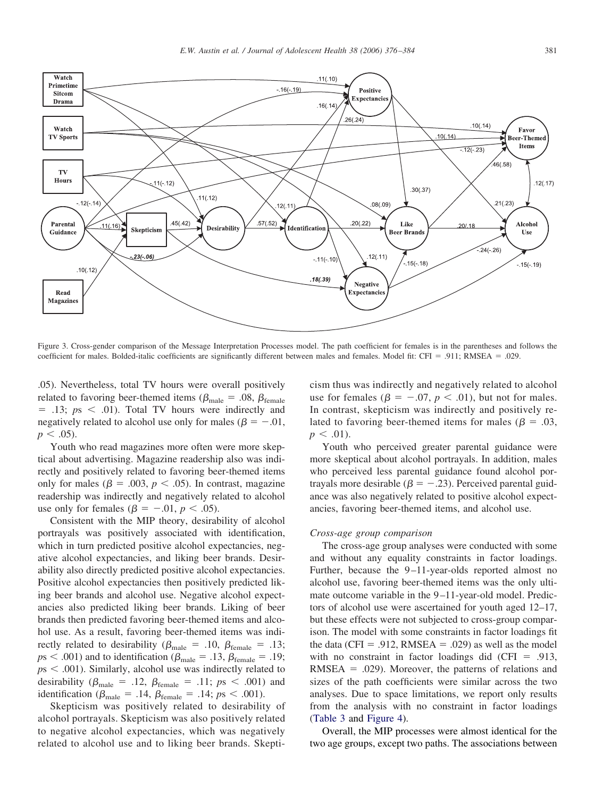<span id="page-5-0"></span>

Figure 3. Cross-gender comparison of the Message Interpretation Processes model. The path coefficient for females is in the parentheses and follows the coefficient for males. Bolded-italic coefficients are significantly different between males and females. Model fit: CFI = .911; RMSEA = .029.

.05). Nevertheless, total TV hours were overall positively related to favoring beer-themed items ( $\beta_{\text{male}} = .08$ ,  $\beta_{\text{female}}$ )  $=$  .13;  $ps < .01$ ). Total TV hours were indirectly and negatively related to alcohol use only for males ( $\beta = -.01$ ,  $p < .05$ ).

Youth who read magazines more often were more skeptical about advertising. Magazine readership also was indirectly and positively related to favoring beer-themed items only for males ( $\beta$  = .003,  $p$  < .05). In contrast, magazine readership was indirectly and negatively related to alcohol use only for females ( $\beta = -.01, p < .05$ ).

Consistent with the MIP theory, desirability of alcohol portrayals was positively associated with identification, which in turn predicted positive alcohol expectancies, negative alcohol expectancies, and liking beer brands. Desirability also directly predicted positive alcohol expectancies. Positive alcohol expectancies then positively predicted liking beer brands and alcohol use. Negative alcohol expectancies also predicted liking beer brands. Liking of beer brands then predicted favoring beer-themed items and alcohol use. As a result, favoring beer-themed items was indirectly related to desirability ( $\beta_{\text{male}} = .10$ ,  $\beta_{\text{female}} = .13$ ;  $p_s$  < .001) and to identification ( $\beta_{\text{male}} = .13$ ,  $\beta_{\text{female}} = .19$ ;  $p<sub>5</sub>$  < .001). Similarly, alcohol use was indirectly related to desirability ( $\beta_{\text{male}} = .12$ ,  $\beta_{\text{female}} = .11$ ;  $ps < .001$ ) and identification ( $\beta_{\text{male}} = .14$ ,  $\beta_{\text{female}} = .14$ ;  $p_s < .001$ ).

Skepticism was positively related to desirability of alcohol portrayals. Skepticism was also positively related to negative alcohol expectancies, which was negatively related to alcohol use and to liking beer brands. Skepti-

cism thus was indirectly and negatively related to alcohol use for females ( $\beta = -.07, p < .01$ ), but not for males. In contrast, skepticism was indirectly and positively related to favoring beer-themed items for males ( $\beta = .03$ ,  $p < .01$ ).

Youth who perceived greater parental guidance were more skeptical about alcohol portrayals. In addition, males who perceived less parental guidance found alcohol portrayals more desirable ( $\beta = -.23$ ). Perceived parental guidance was also negatively related to positive alcohol expectancies, favoring beer-themed items, and alcohol use.

#### *Cross-age group comparison*

The cross-age group analyses were conducted with some and without any equality constraints in factor loadings. Further, because the 9–11-year-olds reported almost no alcohol use, favoring beer-themed items was the only ultimate outcome variable in the 9–11-year-old model. Predictors of alcohol use were ascertained for youth aged 12–17, but these effects were not subjected to cross-group comparison. The model with some constraints in factor loadings fit the data (CFI = .912, RMSEA = .029) as well as the model with no constraint in factor loadings did (CFI  $=$  .913, RMSEA  $=$  .029). Moreover, the patterns of relations and sizes of the path coefficients were similar across the two analyses. Due to space limitations, we report only results from the analysis with no constraint in factor loadings [\(Table 3](#page-6-0) and [Figure 4\)](#page-7-0).

Overall, the MIP processes were almost identical for the two age groups, except two paths. The associations between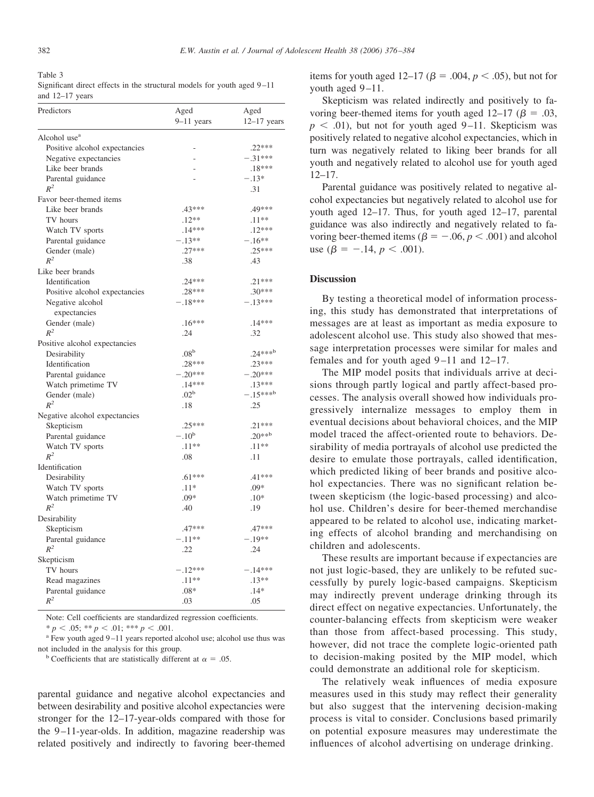<span id="page-6-0"></span>Table 3 Significant direct effects in the structural models for youth aged 9-11 and 12–17 years

| Predictors                    | Aged             | Aged          |  |  |
|-------------------------------|------------------|---------------|--|--|
|                               | $9-11$ years     | $12-17$ years |  |  |
| Alcohol use <sup>a</sup>      |                  |               |  |  |
| Positive alcohol expectancies |                  | $.22***$      |  |  |
| Negative expectancies         |                  | $-.31***$     |  |  |
| Like beer brands              |                  | $.18***$      |  |  |
| Parental guidance             |                  | $-.13*$       |  |  |
| $R^2$                         |                  | .31           |  |  |
| Favor beer-themed items       |                  |               |  |  |
| Like beer brands              | $.43***$         | .49***        |  |  |
| TV hours                      | $.12**$          | $.11**$       |  |  |
| Watch TV sports               | $.14***$         | $.12***$      |  |  |
| Parental guidance             | $-.13**$         | $-.16**$      |  |  |
| Gender (male)                 | $.27***$         | $.25***$      |  |  |
| $R^2$                         | .38              | .43           |  |  |
| Like beer brands              |                  |               |  |  |
| Identification                | $.24***$         | $.21***$      |  |  |
| Positive alcohol expectancies | $.28***$         | $.30***$      |  |  |
| Negative alcohol              | $-.18***$        | $-.13***$     |  |  |
| expectancies                  |                  |               |  |  |
| Gender (male)                 | $.16***$         | $.14***$      |  |  |
| $R^2$                         | .24              | .32           |  |  |
| Positive alcohol expectancies |                  |               |  |  |
| Desirability                  | .08 <sup>b</sup> | $.24***b$     |  |  |
| Identification                | $.28***$         | $.23***$      |  |  |
| Parental guidance             | $-.20***$        | $-.20***$     |  |  |
| Watch primetime TV            | $.14***$         | $.13***$      |  |  |
| Gender (male)                 | .02 <sup>b</sup> | $-.15***b$    |  |  |
| $R^2$                         | .18              | .25           |  |  |
| Negative alcohol expectancies |                  |               |  |  |
| Skepticism                    | $.25***$         | $.21***$      |  |  |
| Parental guidance             | $-.10^{b}$       | $.20***b$     |  |  |
| Watch TV sports<br>$R^2$      | $.11**$          | $.11**$       |  |  |
|                               | .08              | .11           |  |  |
| Identification                | $.61***$         | $.41***$      |  |  |
| Desirability                  | $.11*$           | $.09*$        |  |  |
| Watch TV sports               | $.09*$           | $.10*$        |  |  |
| Watch primetime TV<br>$R^2$   | .40              | .19           |  |  |
| Desirability                  |                  |               |  |  |
| Skepticism                    | $.47***$         | $.47***$      |  |  |
| Parental guidance             | $-.11**$         | $-.19**$      |  |  |
| $R^2$                         | .22              | .24           |  |  |
| Skepticism                    |                  |               |  |  |
| TV hours                      | $-.12***$        | $-.14***$     |  |  |
| Read magazines                | $.11***$         | $.13**$       |  |  |
| Parental guidance             | $.08*$           | $.14*$        |  |  |
| $R^2$                         | .03              | .05           |  |  |
|                               |                  |               |  |  |

Note: Cell coefficients are standardized regression coefficients.

 $* p < .05; ** p < .01; *** p < .001.$ 

<sup>a</sup> Few youth aged 9 –11 years reported alcohol use; alcohol use thus was not included in the analysis for this group.

<sup>b</sup> Coefficients that are statistically different at  $\alpha = .05$ .

parental guidance and negative alcohol expectancies and between desirability and positive alcohol expectancies were stronger for the 12–17-year-olds compared with those for the 9–11-year-olds. In addition, magazine readership was related positively and indirectly to favoring beer-themed

items for youth aged  $12-17$  ( $\beta = .004$ ,  $p < .05$ ), but not for youth aged  $9-11$ .

Skepticism was related indirectly and positively to favoring beer-themed items for youth aged 12–17 ( $\beta = .03$ ,  $p < .01$ ), but not for youth aged 9-11. Skepticism was positively related to negative alcohol expectancies, which in turn was negatively related to liking beer brands for all youth and negatively related to alcohol use for youth aged 12–17.

Parental guidance was positively related to negative alcohol expectancies but negatively related to alcohol use for youth aged 12–17. Thus, for youth aged 12–17, parental guidance was also indirectly and negatively related to favoring beer-themed items ( $\beta = -.06, p < .001$ ) and alcohol use ( $\beta = -.14, p < .001$ ).

#### **Discussion**

By testing a theoretical model of information processing, this study has demonstrated that interpretations of messages are at least as important as media exposure to adolescent alcohol use. This study also showed that message interpretation processes were similar for males and females and for youth aged  $9-11$  and  $12-17$ .

The MIP model posits that individuals arrive at decisions through partly logical and partly affect-based processes. The analysis overall showed how individuals progressively internalize messages to employ them in eventual decisions about behavioral choices, and the MIP model traced the affect-oriented route to behaviors. Desirability of media portrayals of alcohol use predicted the desire to emulate those portrayals, called identification, which predicted liking of beer brands and positive alcohol expectancies. There was no significant relation between skepticism (the logic-based processing) and alcohol use. Children's desire for beer-themed merchandise appeared to be related to alcohol use, indicating marketing effects of alcohol branding and merchandising on children and adolescents.

These results are important because if expectancies are not just logic-based, they are unlikely to be refuted successfully by purely logic-based campaigns. Skepticism may indirectly prevent underage drinking through its direct effect on negative expectancies. Unfortunately, the counter-balancing effects from skepticism were weaker than those from affect-based processing. This study, however, did not trace the complete logic-oriented path to decision-making posited by the MIP model, which could demonstrate an additional role for skepticism.

The relatively weak influences of media exposure measures used in this study may reflect their generality but also suggest that the intervening decision-making process is vital to consider. Conclusions based primarily on potential exposure measures may underestimate the influences of alcohol advertising on underage drinking.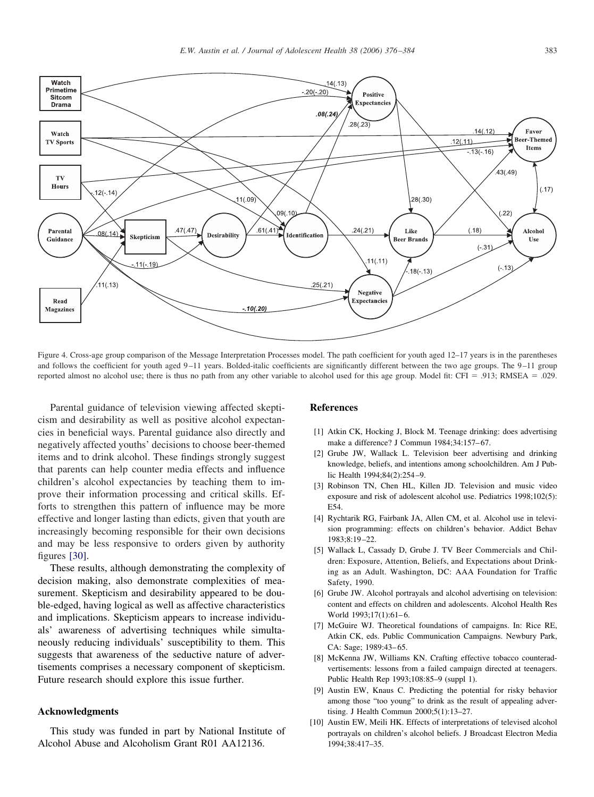<span id="page-7-0"></span>

Figure 4. Cross-age group comparison of the Message Interpretation Processes model. The path coefficient for youth aged 12–17 years is in the parentheses and follows the coefficient for youth aged 9-11 years. Bolded-italic coefficients are significantly different between the two age groups. The 9-11 group reported almost no alcohol use; there is thus no path from any other variable to alcohol used for this age group. Model fit: CFI = .913; RMSEA = .029.

Parental guidance of television viewing affected skepticism and desirability as well as positive alcohol expectancies in beneficial ways. Parental guidance also directly and negatively affected youths' decisions to choose beer-themed items and to drink alcohol. These findings strongly suggest that parents can help counter media effects and influence children's alcohol expectancies by teaching them to improve their information processing and critical skills. Efforts to strengthen this pattern of influence may be more effective and longer lasting than edicts, given that youth are increasingly becoming responsible for their own decisions and may be less responsive to orders given by authority figures [\[30\].](#page-8-0)

These results, although demonstrating the complexity of decision making, also demonstrate complexities of measurement. Skepticism and desirability appeared to be double-edged, having logical as well as affective characteristics and implications. Skepticism appears to increase individuals' awareness of advertising techniques while simultaneously reducing individuals' susceptibility to them. This suggests that awareness of the seductive nature of advertisements comprises a necessary component of skepticism. Future research should explore this issue further.

## **Acknowledgments**

This study was funded in part by National Institute of Alcohol Abuse and Alcoholism Grant R01 AA12136.

## **References**

- [1] Atkin CK, Hocking J, Block M. Teenage drinking: does advertising make a difference? J Commun 1984;34:157-67.
- [2] Grube JW, Wallack L. Television beer advertising and drinking knowledge, beliefs, and intentions among schoolchildren. Am J Public Health 1994;84(2):254 –9.
- [3] Robinson TN, Chen HL, Killen JD. Television and music video exposure and risk of adolescent alcohol use. Pediatrics 1998;102(5): E54.
- [4] Rychtarik RG, Fairbank JA, Allen CM, et al. Alcohol use in television programming: effects on children's behavior. Addict Behav 1983;8:19 –22.
- [5] Wallack L, Cassady D, Grube J. TV Beer Commercials and Children: Exposure, Attention, Beliefs, and Expectations about Drinking as an Adult. Washington, DC: AAA Foundation for Traffic Safety, 1990.
- [6] Grube JW. Alcohol portrayals and alcohol advertising on television: content and effects on children and adolescents. Alcohol Health Res World 1993;17(1):61-6.
- [7] McGuire WJ. Theoretical foundations of campaigns. In: Rice RE, Atkin CK, eds. Public Communication Campaigns. Newbury Park, CA: Sage; 1989:43– 65.
- [8] McKenna JW, Williams KN. Crafting effective tobacco counteradvertisements: lessons from a failed campaign directed at teenagers. Public Health Rep 1993;108:85–9 (suppl 1).
- [9] Austin EW, Knaus C. Predicting the potential for risky behavior among those "too young" to drink as the result of appealing advertising. J Health Commun 2000;5(1):13–27.
- [10] Austin EW, Meili HK. Effects of interpretations of televised alcohol portrayals on children's alcohol beliefs. J Broadcast Electron Media 1994;38:417–35.